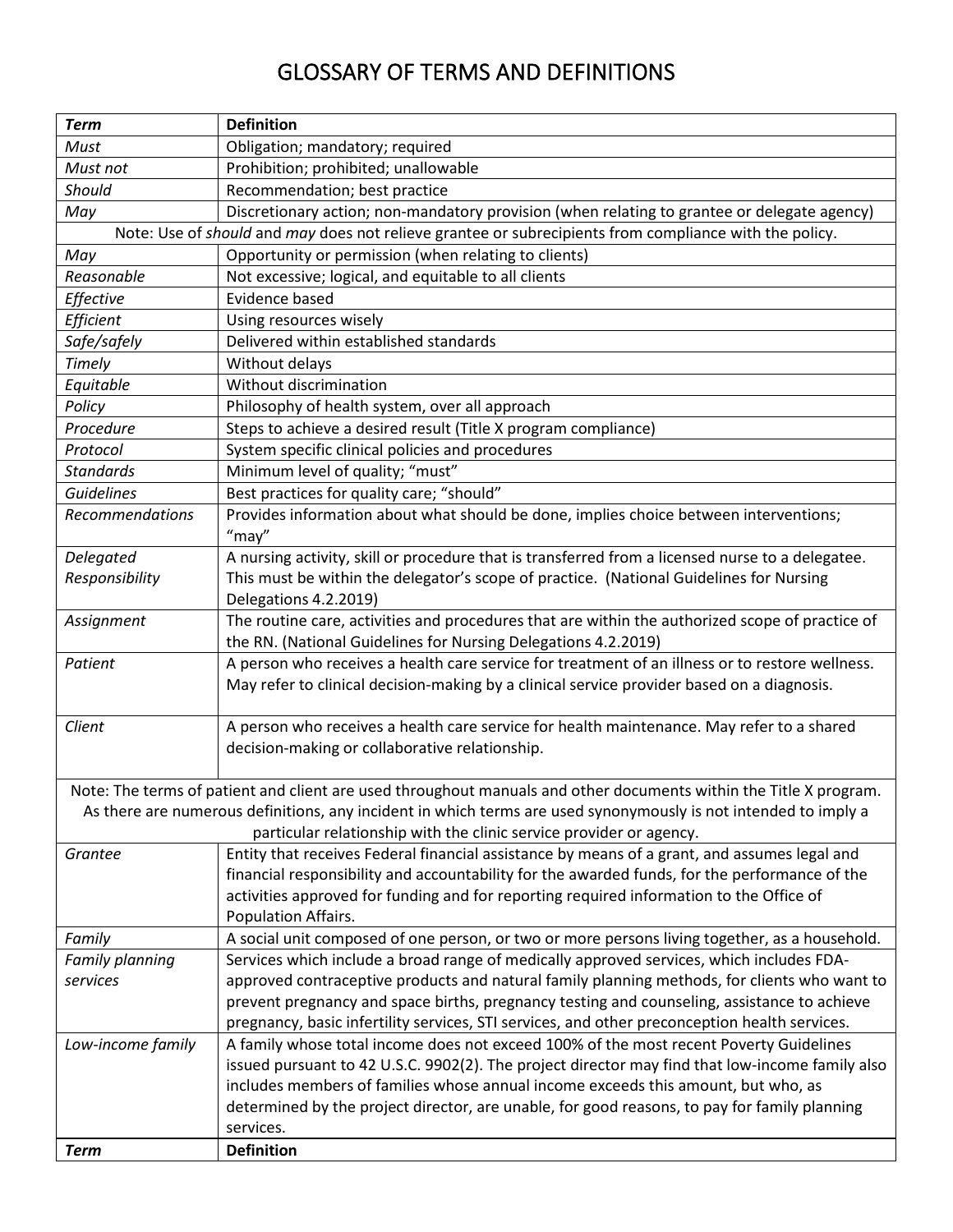## GLOSSARY OF TERMS AND DEFINITIONS

| <b>Term</b>       | <b>Definition</b>                                                                                                                                                   |
|-------------------|---------------------------------------------------------------------------------------------------------------------------------------------------------------------|
| Must              | Obligation; mandatory; required                                                                                                                                     |
| Must not          | Prohibition; prohibited; unallowable                                                                                                                                |
| Should            | Recommendation; best practice                                                                                                                                       |
| May               | Discretionary action; non-mandatory provision (when relating to grantee or delegate agency)                                                                         |
|                   | Note: Use of should and may does not relieve grantee or subrecipients from compliance with the policy.                                                              |
| May               | Opportunity or permission (when relating to clients)                                                                                                                |
| Reasonable        | Not excessive; logical, and equitable to all clients                                                                                                                |
| Effective         | Evidence based                                                                                                                                                      |
| Efficient         | Using resources wisely                                                                                                                                              |
| Safe/safely       | Delivered within established standards                                                                                                                              |
| Timely            | Without delays                                                                                                                                                      |
| Equitable         | Without discrimination                                                                                                                                              |
| Policy            | Philosophy of health system, over all approach                                                                                                                      |
| Procedure         | Steps to achieve a desired result (Title X program compliance)                                                                                                      |
| Protocol          | System specific clinical policies and procedures                                                                                                                    |
| <b>Standards</b>  | Minimum level of quality; "must"                                                                                                                                    |
| Guidelines        | Best practices for quality care; "should"                                                                                                                           |
| Recommendations   | Provides information about what should be done, implies choice between interventions;<br>"may"                                                                      |
| <b>Delegated</b>  | A nursing activity, skill or procedure that is transferred from a licensed nurse to a delegatee.                                                                    |
| Responsibility    | This must be within the delegator's scope of practice. (National Guidelines for Nursing                                                                             |
|                   | Delegations 4.2.2019)                                                                                                                                               |
| Assignment        | The routine care, activities and procedures that are within the authorized scope of practice of                                                                     |
|                   | the RN. (National Guidelines for Nursing Delegations 4.2.2019)                                                                                                      |
| Patient           | A person who receives a health care service for treatment of an illness or to restore wellness.                                                                     |
|                   | May refer to clinical decision-making by a clinical service provider based on a diagnosis.                                                                          |
|                   |                                                                                                                                                                     |
| Client            | A person who receives a health care service for health maintenance. May refer to a shared                                                                           |
|                   | decision-making or collaborative relationship.                                                                                                                      |
|                   |                                                                                                                                                                     |
|                   | Note: The terms of patient and client are used throughout manuals and other documents within the Title X program.                                                   |
|                   | As there are numerous definitions, any incident in which terms are used synonymously is not intended to imply a                                                     |
| Grantee           | particular relationship with the clinic service provider or agency.<br>Entity that receives Federal financial assistance by means of a grant, and assumes legal and |
|                   | financial responsibility and accountability for the awarded funds, for the performance of the                                                                       |
|                   | activities approved for funding and for reporting required information to the Office of                                                                             |
|                   | Population Affairs.                                                                                                                                                 |
| Family            | A social unit composed of one person, or two or more persons living together, as a household.                                                                       |
| Family planning   | Services which include a broad range of medically approved services, which includes FDA-                                                                            |
| services          | approved contraceptive products and natural family planning methods, for clients who want to                                                                        |
|                   | prevent pregnancy and space births, pregnancy testing and counseling, assistance to achieve                                                                         |
|                   | pregnancy, basic infertility services, STI services, and other preconception health services.                                                                       |
| Low-income family | A family whose total income does not exceed 100% of the most recent Poverty Guidelines                                                                              |
|                   | issued pursuant to 42 U.S.C. 9902(2). The project director may find that low-income family also                                                                     |
|                   | includes members of families whose annual income exceeds this amount, but who, as                                                                                   |
|                   | determined by the project director, are unable, for good reasons, to pay for family planning                                                                        |
|                   | services.                                                                                                                                                           |
| <b>Term</b>       | <b>Definition</b>                                                                                                                                                   |
|                   |                                                                                                                                                                     |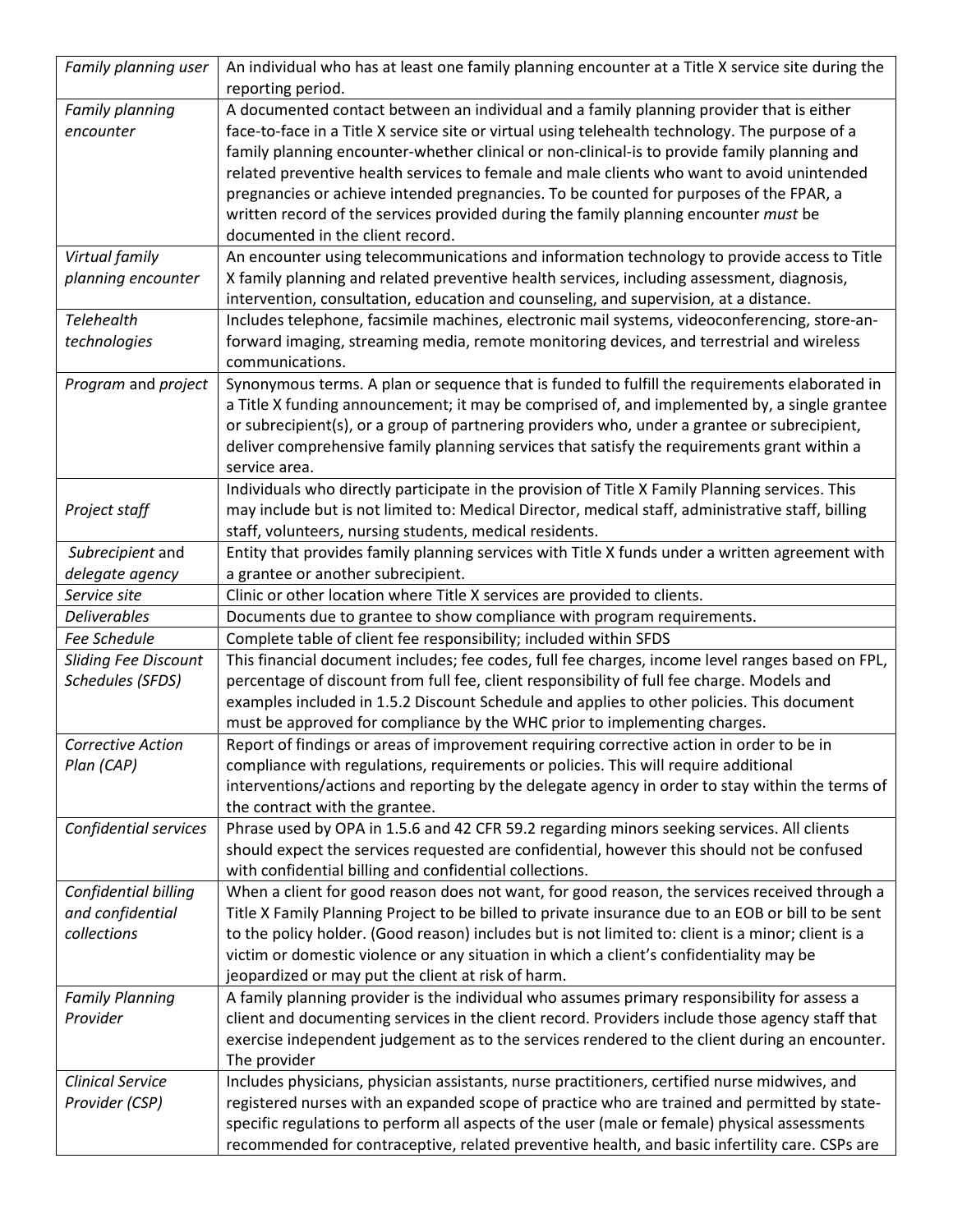| Family planning user        | An individual who has at least one family planning encounter at a Title X service site during the<br>reporting period.                                                                          |
|-----------------------------|-------------------------------------------------------------------------------------------------------------------------------------------------------------------------------------------------|
| Family planning             | A documented contact between an individual and a family planning provider that is either                                                                                                        |
| encounter                   | face-to-face in a Title X service site or virtual using telehealth technology. The purpose of a                                                                                                 |
|                             | family planning encounter-whether clinical or non-clinical-is to provide family planning and                                                                                                    |
|                             | related preventive health services to female and male clients who want to avoid unintended                                                                                                      |
|                             | pregnancies or achieve intended pregnancies. To be counted for purposes of the FPAR, a                                                                                                          |
|                             | written record of the services provided during the family planning encounter must be                                                                                                            |
|                             | documented in the client record.                                                                                                                                                                |
| Virtual family              | An encounter using telecommunications and information technology to provide access to Title                                                                                                     |
| planning encounter          | X family planning and related preventive health services, including assessment, diagnosis,                                                                                                      |
|                             | intervention, consultation, education and counseling, and supervision, at a distance.                                                                                                           |
| Telehealth                  | Includes telephone, facsimile machines, electronic mail systems, videoconferencing, store-an-                                                                                                   |
| technologies                | forward imaging, streaming media, remote monitoring devices, and terrestrial and wireless<br>communications.                                                                                    |
| Program and project         | Synonymous terms. A plan or sequence that is funded to fulfill the requirements elaborated in                                                                                                   |
|                             | a Title X funding announcement; it may be comprised of, and implemented by, a single grantee                                                                                                    |
|                             | or subrecipient(s), or a group of partnering providers who, under a grantee or subrecipient,                                                                                                    |
|                             | deliver comprehensive family planning services that satisfy the requirements grant within a                                                                                                     |
|                             | service area.                                                                                                                                                                                   |
|                             | Individuals who directly participate in the provision of Title X Family Planning services. This                                                                                                 |
| Project staff               | may include but is not limited to: Medical Director, medical staff, administrative staff, billing                                                                                               |
|                             | staff, volunteers, nursing students, medical residents.                                                                                                                                         |
| Subrecipient and            | Entity that provides family planning services with Title X funds under a written agreement with                                                                                                 |
| delegate agency             | a grantee or another subrecipient.                                                                                                                                                              |
| Service site                | Clinic or other location where Title X services are provided to clients.                                                                                                                        |
|                             |                                                                                                                                                                                                 |
| <b>Deliverables</b>         | Documents due to grantee to show compliance with program requirements.                                                                                                                          |
| Fee Schedule                | Complete table of client fee responsibility; included within SFDS                                                                                                                               |
| <b>Sliding Fee Discount</b> | This financial document includes; fee codes, full fee charges, income level ranges based on FPL,                                                                                                |
| <b>Schedules (SFDS)</b>     | percentage of discount from full fee, client responsibility of full fee charge. Models and                                                                                                      |
|                             | examples included in 1.5.2 Discount Schedule and applies to other policies. This document                                                                                                       |
|                             | must be approved for compliance by the WHC prior to implementing charges.                                                                                                                       |
| <b>Corrective Action</b>    | Report of findings or areas of improvement requiring corrective action in order to be in                                                                                                        |
| Plan (CAP)                  | compliance with regulations, requirements or policies. This will require additional                                                                                                             |
|                             | interventions/actions and reporting by the delegate agency in order to stay within the terms of                                                                                                 |
|                             | the contract with the grantee.                                                                                                                                                                  |
| Confidential services       | Phrase used by OPA in 1.5.6 and 42 CFR 59.2 regarding minors seeking services. All clients                                                                                                      |
|                             | should expect the services requested are confidential, however this should not be confused                                                                                                      |
|                             | with confidential billing and confidential collections.                                                                                                                                         |
| Confidential billing        | When a client for good reason does not want, for good reason, the services received through a                                                                                                   |
| and confidential            | Title X Family Planning Project to be billed to private insurance due to an EOB or bill to be sent                                                                                              |
| collections                 | to the policy holder. (Good reason) includes but is not limited to: client is a minor; client is a                                                                                              |
|                             | victim or domestic violence or any situation in which a client's confidentiality may be                                                                                                         |
|                             | jeopardized or may put the client at risk of harm.                                                                                                                                              |
| <b>Family Planning</b>      | A family planning provider is the individual who assumes primary responsibility for assess a                                                                                                    |
| Provider                    | client and documenting services in the client record. Providers include those agency staff that                                                                                                 |
|                             | exercise independent judgement as to the services rendered to the client during an encounter.                                                                                                   |
|                             | The provider                                                                                                                                                                                    |
| <b>Clinical Service</b>     | Includes physicians, physician assistants, nurse practitioners, certified nurse midwives, and                                                                                                   |
| Provider (CSP)              | registered nurses with an expanded scope of practice who are trained and permitted by state-                                                                                                    |
|                             | specific regulations to perform all aspects of the user (male or female) physical assessments<br>recommended for contraceptive, related preventive health, and basic infertility care. CSPs are |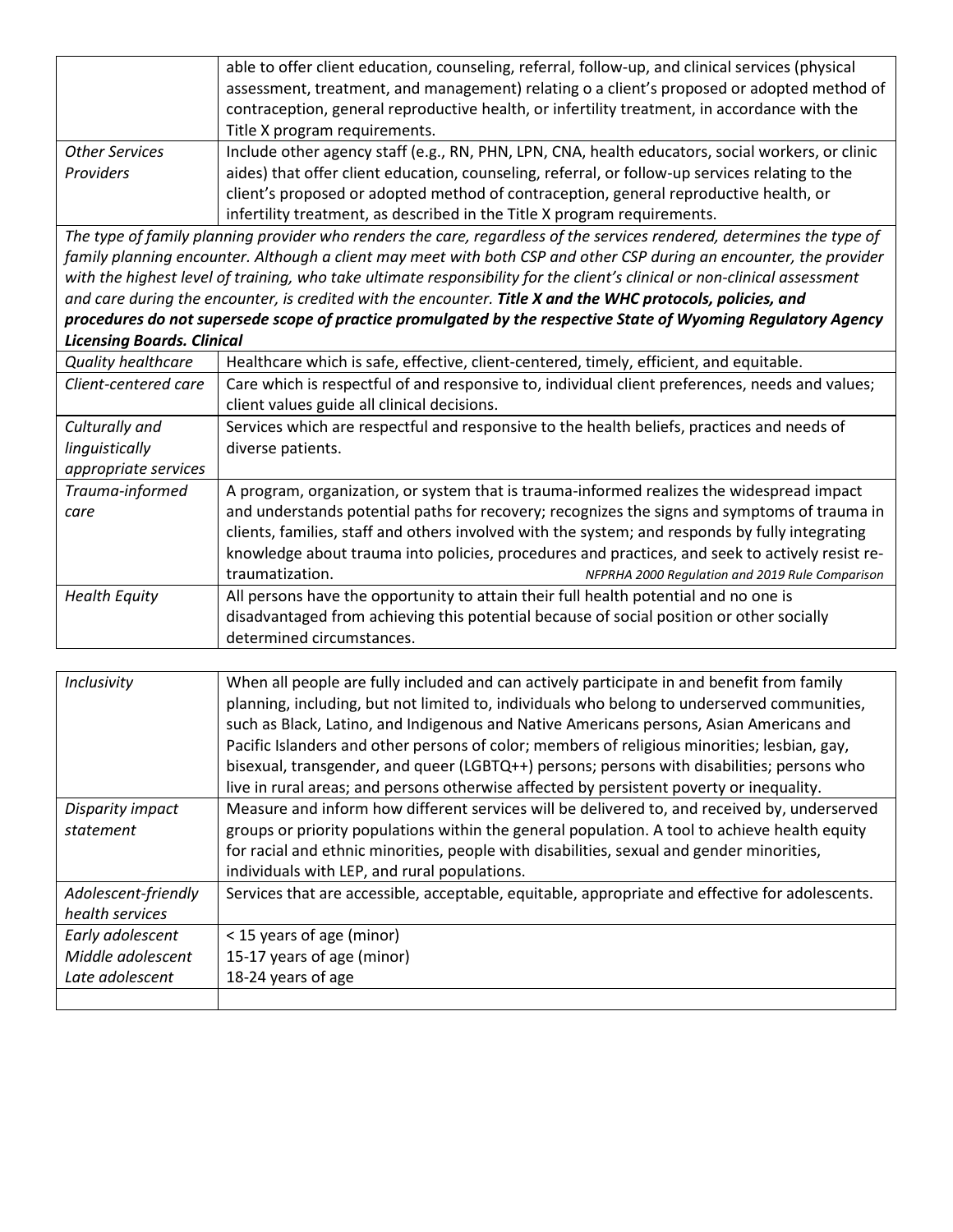|                                                                                                                | able to offer client education, counseling, referral, follow-up, and clinical services (physical                          |  |
|----------------------------------------------------------------------------------------------------------------|---------------------------------------------------------------------------------------------------------------------------|--|
|                                                                                                                | assessment, treatment, and management) relating o a client's proposed or adopted method of                                |  |
|                                                                                                                | contraception, general reproductive health, or infertility treatment, in accordance with the                              |  |
|                                                                                                                | Title X program requirements.                                                                                             |  |
| <b>Other Services</b>                                                                                          | Include other agency staff (e.g., RN, PHN, LPN, CNA, health educators, social workers, or clinic                          |  |
| Providers                                                                                                      | aides) that offer client education, counseling, referral, or follow-up services relating to the                           |  |
|                                                                                                                | client's proposed or adopted method of contraception, general reproductive health, or                                     |  |
|                                                                                                                | infertility treatment, as described in the Title X program requirements.                                                  |  |
|                                                                                                                | The type of family planning provider who renders the care, regardless of the services rendered, determines the type of    |  |
|                                                                                                                | family planning encounter. Although a client may meet with both CSP and other CSP during an encounter, the provider       |  |
|                                                                                                                | with the highest level of training, who take ultimate responsibility for the client's clinical or non-clinical assessment |  |
| and care during the encounter, is credited with the encounter. Title X and the WHC protocols, policies, and    |                                                                                                                           |  |
| procedures do not supersede scope of practice promulgated by the respective State of Wyoming Regulatory Agency |                                                                                                                           |  |
| <b>Licensing Boards. Clinical</b>                                                                              |                                                                                                                           |  |
| <b>Quality healthcare</b>                                                                                      | Healthcare which is safe, effective, client-centered, timely, efficient, and equitable.                                   |  |
| Client-centered care                                                                                           | Care which is respectful of and responsive to, individual client preferences, needs and values;                           |  |
|                                                                                                                | client values guide all clinical decisions.                                                                               |  |
| Culturally and                                                                                                 | Services which are respectful and responsive to the health beliefs, practices and needs of                                |  |
| linguistically                                                                                                 | diverse patients.                                                                                                         |  |
| appropriate services                                                                                           |                                                                                                                           |  |
| Trauma-informed                                                                                                | A program, organization, or system that is trauma-informed realizes the widespread impact                                 |  |
| care                                                                                                           | and understands potential paths for recovery; recognizes the signs and symptoms of trauma in                              |  |
|                                                                                                                | clients, families, staff and others involved with the system; and responds by fully integrating                           |  |
|                                                                                                                | knowledge about trauma into policies, procedures and practices, and seek to actively resist re-                           |  |
|                                                                                                                | traumatization.<br>NFPRHA 2000 Regulation and 2019 Rule Comparison                                                        |  |
| <b>Health Equity</b>                                                                                           | All persons have the opportunity to attain their full health potential and no one is                                      |  |
|                                                                                                                | disadvantaged from achieving this potential because of social position or other socially                                  |  |
|                                                                                                                | determined circumstances.                                                                                                 |  |
|                                                                                                                |                                                                                                                           |  |

| Inclusivity         | When all people are fully included and can actively participate in and benefit from family      |
|---------------------|-------------------------------------------------------------------------------------------------|
|                     | planning, including, but not limited to, individuals who belong to underserved communities,     |
|                     | such as Black, Latino, and Indigenous and Native Americans persons, Asian Americans and         |
|                     | Pacific Islanders and other persons of color; members of religious minorities; lesbian, gay,    |
|                     | bisexual, transgender, and queer (LGBTQ++) persons; persons with disabilities; persons who      |
|                     | live in rural areas; and persons otherwise affected by persistent poverty or inequality.        |
| Disparity impact    | Measure and inform how different services will be delivered to, and received by, underserved    |
| statement           | groups or priority populations within the general population. A tool to achieve health equity   |
|                     | for racial and ethnic minorities, people with disabilities, sexual and gender minorities,       |
|                     | individuals with LEP, and rural populations.                                                    |
| Adolescent-friendly | Services that are accessible, acceptable, equitable, appropriate and effective for adolescents. |
| health services     |                                                                                                 |
| Early adolescent    | < 15 years of age (minor)                                                                       |
| Middle adolescent   | 15-17 years of age (minor)                                                                      |
| Late adolescent     | 18-24 years of age                                                                              |
|                     |                                                                                                 |